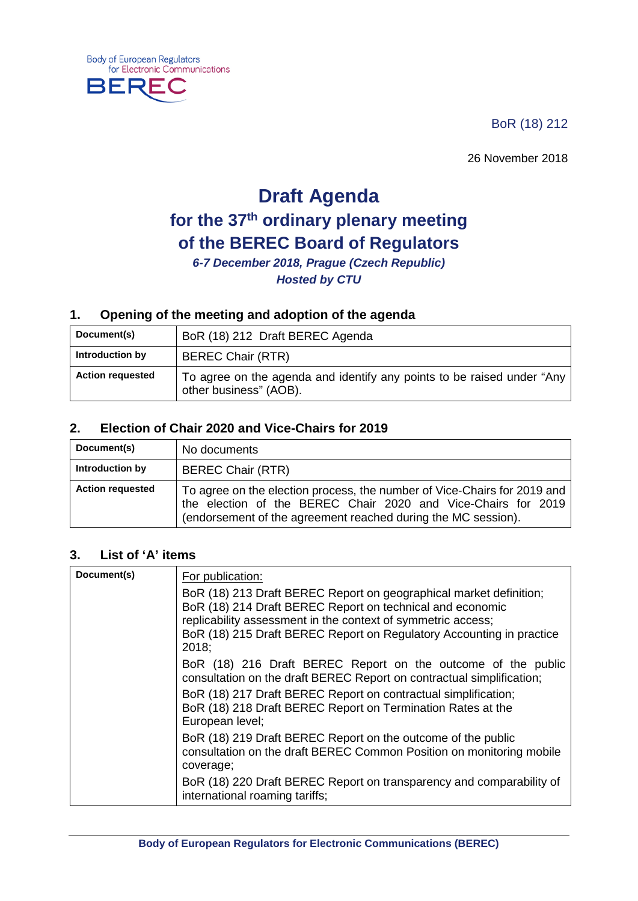BoR (18) 212

26 November 2018

# **Draft Agenda for the 37th ordinary plenary meeting of the BEREC Board of Regulators**

*6-7 December 2018, Prague (Czech Republic) Hosted by CTU*

# **1. Opening of the meeting and adoption of the agenda**

| Document(s)             | BoR (18) 212 Draft BEREC Agenda                                                                  |
|-------------------------|--------------------------------------------------------------------------------------------------|
| Introduction by         | <b>BEREC Chair (RTR)</b>                                                                         |
| <b>Action requested</b> | To agree on the agenda and identify any points to be raised under "Any<br>other business" (AOB). |

#### **2. Election of Chair 2020 and Vice-Chairs for 2019**

| Document(s)             | No documents                                                                                                                                                                                               |
|-------------------------|------------------------------------------------------------------------------------------------------------------------------------------------------------------------------------------------------------|
| Introduction by         | <b>BEREC Chair (RTR)</b>                                                                                                                                                                                   |
| <b>Action requested</b> | To agree on the election process, the number of Vice-Chairs for 2019 and<br>the election of the BEREC Chair 2020 and Vice-Chairs for 2019<br>(endorsement of the agreement reached during the MC session). |

#### **3. List of 'A' items**

**Body of European Regulators** 

**BERE** 

for Electronic Communications

| Document(s) | For publication:                                                                                                                                                                                                                                                                 |
|-------------|----------------------------------------------------------------------------------------------------------------------------------------------------------------------------------------------------------------------------------------------------------------------------------|
|             | BoR (18) 213 Draft BEREC Report on geographical market definition;<br>BoR (18) 214 Draft BEREC Report on technical and economic<br>replicability assessment in the context of symmetric access;<br>BoR (18) 215 Draft BEREC Report on Regulatory Accounting in practice<br>2018: |
|             | BoR (18) 216 Draft BEREC Report on the outcome of the public<br>consultation on the draft BEREC Report on contractual simplification;                                                                                                                                            |
|             | BoR (18) 217 Draft BEREC Report on contractual simplification;<br>BoR (18) 218 Draft BEREC Report on Termination Rates at the<br>European level;                                                                                                                                 |
|             | BoR (18) 219 Draft BEREC Report on the outcome of the public<br>consultation on the draft BEREC Common Position on monitoring mobile<br>coverage;                                                                                                                                |
|             | BoR (18) 220 Draft BEREC Report on transparency and comparability of<br>international roaming tariffs;                                                                                                                                                                           |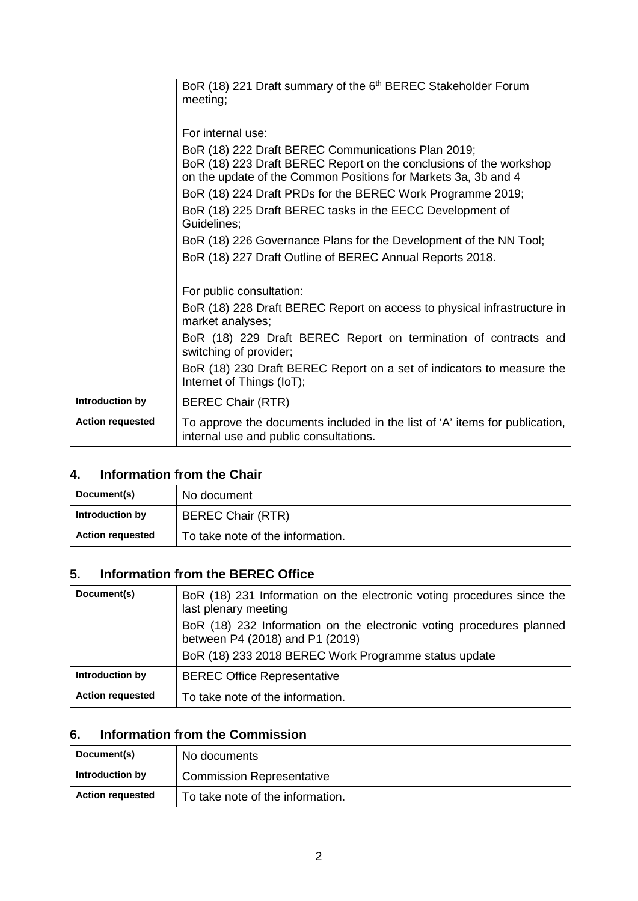|                         | BoR (18) 221 Draft summary of the 6 <sup>th</sup> BEREC Stakeholder Forum                                             |
|-------------------------|-----------------------------------------------------------------------------------------------------------------------|
|                         | meeting;                                                                                                              |
|                         |                                                                                                                       |
|                         | For internal use:                                                                                                     |
|                         | BoR (18) 222 Draft BEREC Communications Plan 2019;                                                                    |
|                         | BoR (18) 223 Draft BEREC Report on the conclusions of the workshop                                                    |
|                         | on the update of the Common Positions for Markets 3a, 3b and 4                                                        |
|                         | BoR (18) 224 Draft PRDs for the BEREC Work Programme 2019;                                                            |
|                         | BoR (18) 225 Draft BEREC tasks in the EECC Development of                                                             |
|                         | Guidelines:                                                                                                           |
|                         | BoR (18) 226 Governance Plans for the Development of the NN Tool;                                                     |
|                         | BoR (18) 227 Draft Outline of BEREC Annual Reports 2018.                                                              |
|                         |                                                                                                                       |
|                         | For public consultation:                                                                                              |
|                         | BoR (18) 228 Draft BEREC Report on access to physical infrastructure in<br>market analyses;                           |
|                         | BoR (18) 229 Draft BEREC Report on termination of contracts and<br>switching of provider;                             |
|                         | BoR (18) 230 Draft BEREC Report on a set of indicators to measure the<br>Internet of Things (IoT);                    |
| Introduction by         | <b>BEREC Chair (RTR)</b>                                                                                              |
| <b>Action requested</b> | To approve the documents included in the list of 'A' items for publication,<br>internal use and public consultations. |

# **4. Information from the Chair**

| Document(s)             | No document                      |
|-------------------------|----------------------------------|
| Introduction by         | <b>BEREC Chair (RTR)</b>         |
| <b>Action requested</b> | To take note of the information. |

# **5. Information from the BEREC Office**

| Document(s)             | BoR (18) 231 Information on the electronic voting procedures since the<br>last plenary meeting          |
|-------------------------|---------------------------------------------------------------------------------------------------------|
|                         | BoR (18) 232 Information on the electronic voting procedures planned<br>between P4 (2018) and P1 (2019) |
|                         | BoR (18) 233 2018 BEREC Work Programme status update                                                    |
| Introduction by         | <b>BEREC Office Representative</b>                                                                      |
| <b>Action requested</b> | To take note of the information.                                                                        |

# **6. Information from the Commission**

| Document(s)             | No documents                     |
|-------------------------|----------------------------------|
| Introduction by         | <b>Commission Representative</b> |
| <b>Action requested</b> | To take note of the information. |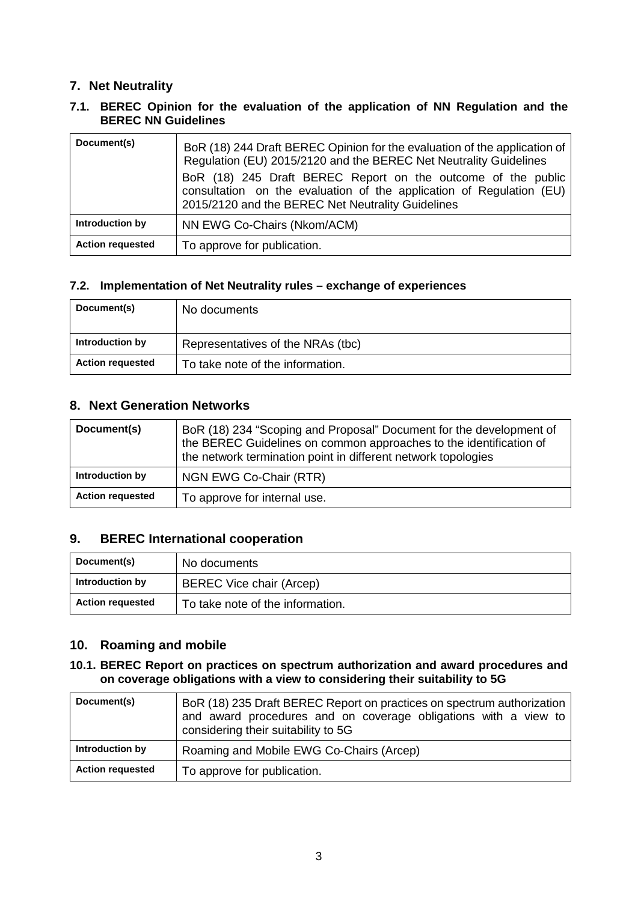## **7. Net Neutrality**

#### **7.1. BEREC Opinion for the evaluation of the application of NN Regulation and the BEREC NN Guidelines**

| Document(s)             | BoR (18) 244 Draft BEREC Opinion for the evaluation of the application of<br>Regulation (EU) 2015/2120 and the BEREC Net Neutrality Guidelines<br>BoR (18) 245 Draft BEREC Report on the outcome of the public<br>consultation on the evaluation of the application of Regulation (EU)<br>2015/2120 and the BEREC Net Neutrality Guidelines |
|-------------------------|---------------------------------------------------------------------------------------------------------------------------------------------------------------------------------------------------------------------------------------------------------------------------------------------------------------------------------------------|
| Introduction by         | NN EWG Co-Chairs (Nkom/ACM)                                                                                                                                                                                                                                                                                                                 |
| <b>Action requested</b> | To approve for publication.                                                                                                                                                                                                                                                                                                                 |

#### **7.2. Implementation of Net Neutrality rules – exchange of experiences**

| Document(s)             | No documents                      |
|-------------------------|-----------------------------------|
| Introduction by         | Representatives of the NRAs (tbc) |
| <b>Action requested</b> | To take note of the information.  |

### **8. Next Generation Networks**

| Document(s)             | BoR (18) 234 "Scoping and Proposal" Document for the development of<br>the BEREC Guidelines on common approaches to the identification of<br>the network termination point in different network topologies |
|-------------------------|------------------------------------------------------------------------------------------------------------------------------------------------------------------------------------------------------------|
| Introduction by         | NGN EWG Co-Chair (RTR)                                                                                                                                                                                     |
| <b>Action requested</b> | To approve for internal use.                                                                                                                                                                               |

### **9. BEREC International cooperation**

| Document(s)             | No documents                     |
|-------------------------|----------------------------------|
| Introduction by         | <b>BEREC Vice chair (Arcep)</b>  |
| <b>Action requested</b> | To take note of the information. |

# **10. Roaming and mobile**

#### **10.1. BEREC Report on practices on spectrum authorization and award procedures and on coverage obligations with a view to considering their suitability to 5G**

| Document(s)             | BoR (18) 235 Draft BEREC Report on practices on spectrum authorization<br>and award procedures and on coverage obligations with a view to<br>considering their suitability to 5G |
|-------------------------|----------------------------------------------------------------------------------------------------------------------------------------------------------------------------------|
| Introduction by         | Roaming and Mobile EWG Co-Chairs (Arcep)                                                                                                                                         |
| <b>Action requested</b> | To approve for publication.                                                                                                                                                      |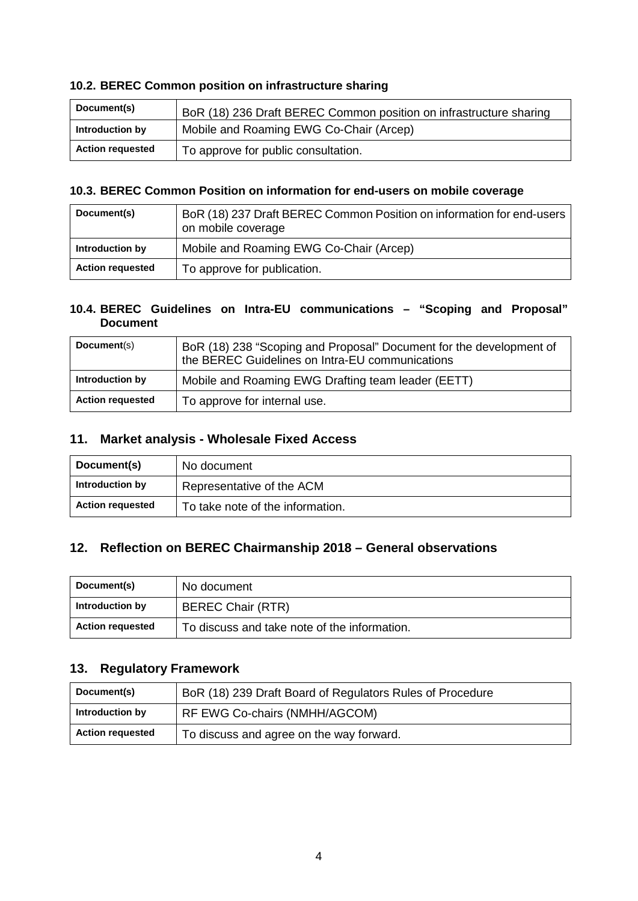#### **10.2. BEREC Common position on infrastructure sharing**

| Document(s)             | BoR (18) 236 Draft BEREC Common position on infrastructure sharing |
|-------------------------|--------------------------------------------------------------------|
| Introduction by         | Mobile and Roaming EWG Co-Chair (Arcep)                            |
| <b>Action requested</b> | To approve for public consultation.                                |

#### **10.3. BEREC Common Position on information for end-users on mobile coverage**

| Document(s)             | BoR (18) 237 Draft BEREC Common Position on information for end-users<br>on mobile coverage |
|-------------------------|---------------------------------------------------------------------------------------------|
| Introduction by         | Mobile and Roaming EWG Co-Chair (Arcep)                                                     |
| <b>Action requested</b> | To approve for publication.                                                                 |

#### **10.4. BEREC Guidelines on Intra-EU communications – "Scoping and Proposal" Document**

| Document(s)             | BoR (18) 238 "Scoping and Proposal" Document for the development of<br>the BEREC Guidelines on Intra-EU communications |
|-------------------------|------------------------------------------------------------------------------------------------------------------------|
| Introduction by         | Mobile and Roaming EWG Drafting team leader (EETT)                                                                     |
| <b>Action requested</b> | To approve for internal use.                                                                                           |

#### **11. Market analysis - Wholesale Fixed Access**

| Document(s)             | No document                      |
|-------------------------|----------------------------------|
| Introduction by         | Representative of the ACM        |
| <b>Action requested</b> | To take note of the information. |

### **12. Reflection on BEREC Chairmanship 2018 – General observations**

| Document(s)             | No document                                  |
|-------------------------|----------------------------------------------|
| Introduction by         | <b>BEREC Chair (RTR)</b>                     |
| <b>Action requested</b> | To discuss and take note of the information. |

# **13. Regulatory Framework**

| Document(s)             | BoR (18) 239 Draft Board of Regulators Rules of Procedure |
|-------------------------|-----------------------------------------------------------|
| Introduction by         | RF EWG Co-chairs (NMHH/AGCOM)                             |
| <b>Action requested</b> | To discuss and agree on the way forward.                  |